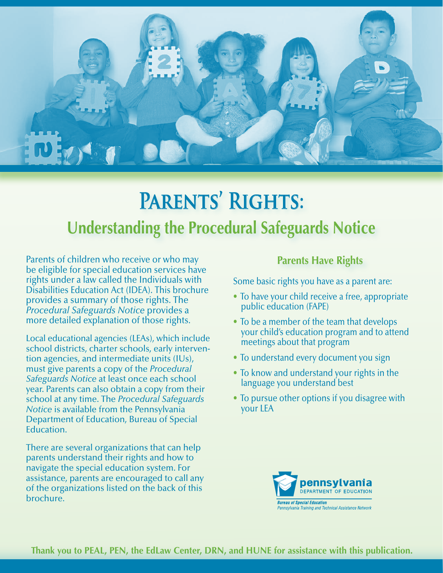

# **Parents' Rights: Understanding the Procedural Safeguards Notice**

Parents of children who receive or who may be eligible for special education services have rights under a law called the Individuals with Disabilities Education Act (IDEA). This brochure provides a summary of those rights. The *Procedural Safeguards Notice* provides a more detailed explanation of those rights.

 Local educational agencies (LEAs), which include tion agencies, and intermediate units (IUs), *Notice* is available from the Pennsylvania school districts, charter schools, early intervenmust give parents a copy of the *Procedural Safeguards Notice* at least once each school year. Parents can also obtain a copy from their school at any time. The *Procedural Safeguards*  Department of Education, Bureau of Special Education.

 assistance, parents are encouraged to call any There are several organizations that can help parents understand their rights and how to navigate the special education system. For of the organizations listed on the back of this brochure.

# **Parents Have Rights**

Some basic rights you have as a parent are:

- To have your child receive a free, appropriate public education (FAPE)
- To be a member of the team that develops your child's education program and to attend meetings about that program
- To understand every document you sign
- To know and understand your rights in the language you understand best
- To pursue other options if you disagree with your LEA

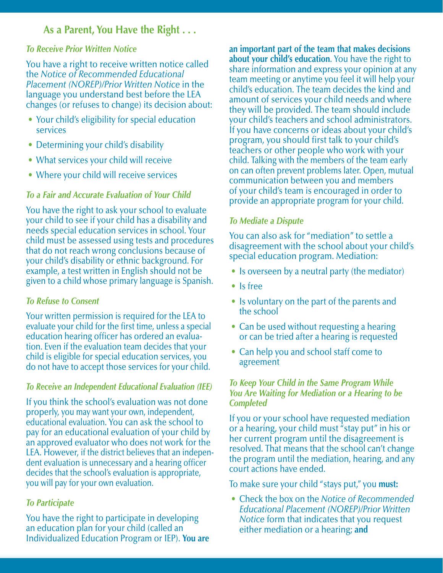# **As a Parent, You Have the Right . . .**

#### *To Receive Prior Written Notice*

You have a right to receive written notice called the *Notice of Recommended Educational Placement (NOREP)/Prior Written Notice* in the language you understand best before the LEA changes (or refuses to change) its decision about:

- Your child's eligibility for special education services
- Determining your child's disability
- What services your child will receive
- Where your child will receive services

# *To a Fair and Accurate Evaluation of Your Child*

You have the right to ask your school to evaluate your child to see if your child has a disability and needs special education services in school. Your child must be assessed using tests and procedures that do not reach wrong conclusions because of your child's disability or ethnic background. For example, a test written in English should not be given to a child whose primary language is Spanish.

## *To Refuse to Consent*

 tion. Even if the evaluation team decides that your Your written permission is required for the LEA to evaluate your child for the first time, unless a special education hearing officer has ordered an evaluachild is eligible for special education services, you do not have to accept those services for your child.

#### *To Receive an Independent Educational Evaluation (IEE)*

 properly, you may want your own, independent, decides that the school's evaluation is appropriate, If you think the school's evaluation was not done educational evaluation. You can ask the school to pay for an educational evaluation of your child by an approved evaluator who does not work for the LEA. However, if the district believes that an independent evaluation is unnecessary and a hearing officer you will pay for your own evaluation.

## *To Participate*

You have the right to participate in developing an education plan for your child (called an Individualized Education Program or IEP). **You are** 

 child. Talking with the members of the team early **an important part of the team that makes decisions about your child's education**. You have the right to share information and express your opinion at any team meeting or anytime you feel it will help your child's education. The team decides the kind and amount of services your child needs and where they will be provided. The team should include your child's teachers and school administrators. If you have concerns or ideas about your child's program, you should first talk to your child's teachers or other people who work with your on can often prevent problems later. Open, mutual communication between you and members of your child's team is encouraged in order to provide an appropriate program for your child.

## *To Mediate a Dispute*

You can also ask for "mediation" to settle a disagreement with the school about your child's special education program. Mediation:

- Is overseen by a neutral party (the mediator)
- Is free
- Is voluntary on the part of the parents and the school
- Can be used without requesting a hearing or can be tried after a hearing is requested
- Can help you and school staff come to agreement

## *To Keep Your Child in the Same Program While You Are Waiting for Mediation or a Hearing to be Completed*

If you or your school have requested mediation or a hearing, your child must "stay put" in his or her current program until the disagreement is resolved. That means that the school can't change the program until the mediation, hearing, and any court actions have ended.

#### To make sure your child "stays put," you **must:**

 *Educational Placement (NOREP)/Prior Written*  • Check the box on the *Notice of Recommended Notice* form that indicates that you request either mediation or a hearing; **and**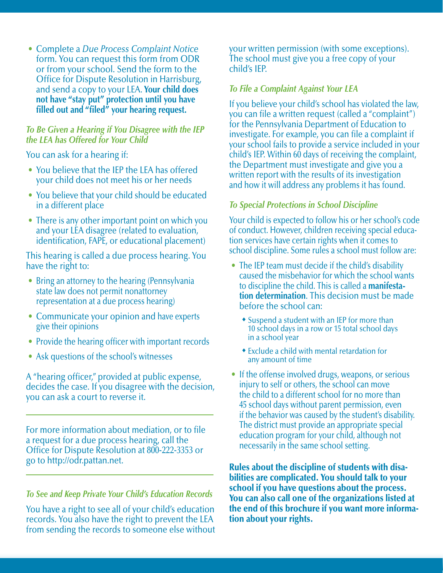Office for Dispute Resolution in Harrisburg, • Complete a *Due Process Complaint Notice*  form. You can request this form from ODR or from your school. Send the form to the and send a copy to your LEA. **Your child does not have "stay put" protection until you have**  filled out and "filed" your hearing request.

#### *To Be Given a Hearing if You Disagree with the IEP the LEA has Offered for Your Child*

You can ask for a hearing if:

- You believe that the IEP the LEA has offered your child does not meet his or her needs
- You believe that your child should be educated in a different place
- There is any other important point on which you and your LEA disagree (related to evaluation, identification, FAPE, or educational placement)

This hearing is called a due process hearing. You have the right to:

- Bring an attorney to the hearing (Pennsylvania) state law does not permit nonattorney representation at a due process hearing)
- Communicate your opinion and have experts give their opinions
- Provide the hearing officer with important records
- Ask questions of the school's witnesses

A "hearing officer," provided at public expense, decides the case. If you disagree with the decision, you can ask a court to reverse it.

For more information about mediation, or to file a request for a due process hearing, call the Office for Dispute Resolution at 800-222-3353 or go to http://odr.pattan.net.

#### *To See and Keep Private Your Child's Education Records*

You have a right to see all of your child's education records. You also have the right to prevent the LEA from sending the records to someone else without your written permission (with some exceptions). The school must give you a free copy of your child's IEP.

#### *To File a Complaint Against Your LEA*

If you believe your child's school has violated the law, you can fle a written request (called a "complaint") for the Pennsylvania Department of Education to investigate. For example, you can file a complaint if your school fails to provide a service included in your child's IEP. Within 60 days of receiving the complaint, the Department must investigate and give you a written report with the results of its investigation and how it will address any problems it has found.

#### *To Special Protections in School Discipline*

Your child is expected to follow his or her school's code of conduct. However, children receiving special education services have certain rights when it comes to school discipline. Some rules a school must follow are:

- caused the misbehavior for which the school wants • The IEP team must decide if the child's disability to discipline the child. This is called a **manifestation determination**. This decision must be made before the school can:
	- **\*** Suspend a student with an IEP for more than 10 school days in a row or 15 total school days in a school year
	- $\bullet$  Exclude a child with mental retardation for any amount of time
- if the behavior was caused by the student's disability. • If the offense involved drugs, weapons, or serious injury to self or others, the school can move the child to a different school for no more than 45 school days without parent permission, even The district must provide an appropriate special education program for your child, although not necessarily in the same school setting.

Rules about the discipline of students with disabilities are complicated. You should talk to your school if you have questions about the process. You can also call one of the organizations listed at the end of this brochure if you want more information about your rights.